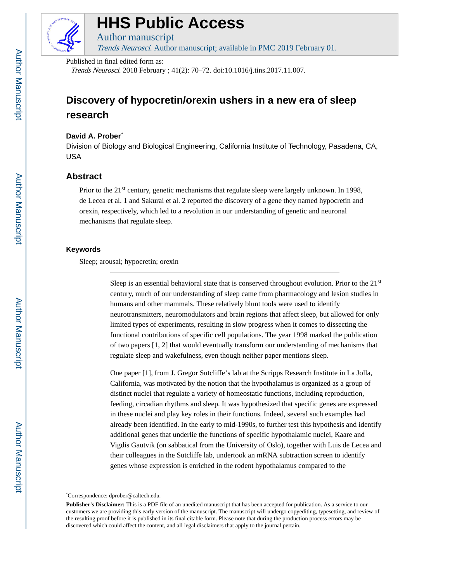

# **HHS Public Access**

Author manuscript

Trends Neurosci. Author manuscript; available in PMC 2019 February 01.

#### Published in final edited form as:

Trends Neurosci. 2018 February ; 41(2): 70–72. doi:10.1016/j.tins.2017.11.007.

## **Discovery of hypocretin/orexin ushers in a new era of sleep research**

#### **David A. Prober**\*

Division of Biology and Biological Engineering, California Institute of Technology, Pasadena, CA, USA

### **Abstract**

Prior to the 21<sup>st</sup> century, genetic mechanisms that regulate sleep were largely unknown. In 1998, de Lecea et al. 1 and Sakurai et al. 2 reported the discovery of a gene they named hypocretin and orexin, respectively, which led to a revolution in our understanding of genetic and neuronal mechanisms that regulate sleep.

#### **Keywords**

Sleep; arousal; hypocretin; orexin

Sleep is an essential behavioral state that is conserved throughout evolution. Prior to the 21<sup>st</sup> century, much of our understanding of sleep came from pharmacology and lesion studies in humans and other mammals. These relatively blunt tools were used to identify neurotransmitters, neuromodulators and brain regions that affect sleep, but allowed for only limited types of experiments, resulting in slow progress when it comes to dissecting the functional contributions of specific cell populations. The year 1998 marked the publication of two papers [1, 2] that would eventually transform our understanding of mechanisms that regulate sleep and wakefulness, even though neither paper mentions sleep.

One paper [1], from J. Gregor Sutcliffe's lab at the Scripps Research Institute in La Jolla, California, was motivated by the notion that the hypothalamus is organized as a group of distinct nuclei that regulate a variety of homeostatic functions, including reproduction, feeding, circadian rhythms and sleep. It was hypothesized that specific genes are expressed in these nuclei and play key roles in their functions. Indeed, several such examples had already been identified. In the early to mid-1990s, to further test this hypothesis and identify additional genes that underlie the functions of specific hypothalamic nuclei, Kaare and Vigdis Gautvik (on sabbatical from the University of Oslo), together with Luis de Lecea and their colleagues in the Sutcliffe lab, undertook an mRNA subtraction screen to identify genes whose expression is enriched in the rodent hypothalamus compared to the

<sup>\*</sup>Correspondence: dprober@caltech.edu.

**Publisher's Disclaimer:** This is a PDF file of an unedited manuscript that has been accepted for publication. As a service to our customers we are providing this early version of the manuscript. The manuscript will undergo copyediting, typesetting, and review of the resulting proof before it is published in its final citable form. Please note that during the production process errors may be discovered which could affect the content, and all legal disclaimers that apply to the journal pertain.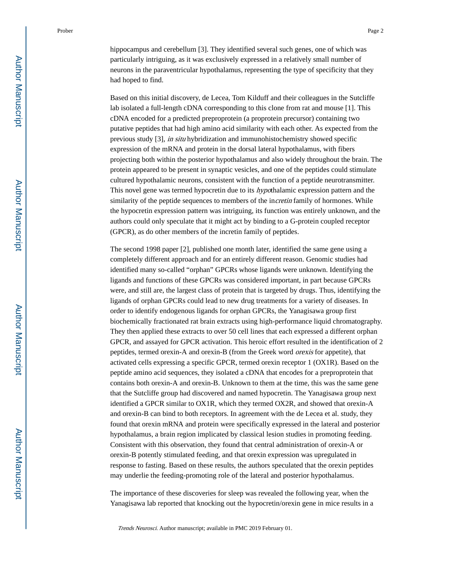had hoped to find.

hippocampus and cerebellum [3]. They identified several such genes, one of which was particularly intriguing, as it was exclusively expressed in a relatively small number of neurons in the paraventricular hypothalamus, representing the type of specificity that they

Based on this initial discovery, de Lecea, Tom Kilduff and their colleagues in the Sutcliffe lab isolated a full-length cDNA corresponding to this clone from rat and mouse [1]. This cDNA encoded for a predicted preproprotein (a proprotein precursor) containing two putative peptides that had high amino acid similarity with each other. As expected from the previous study [3], in situ hybridization and immunohistochemistry showed specific expression of the mRNA and protein in the dorsal lateral hypothalamus, with fibers projecting both within the posterior hypothalamus and also widely throughout the brain. The protein appeared to be present in synaptic vesicles, and one of the peptides could stimulate cultured hypothalamic neurons, consistent with the function of a peptide neurotransmitter. This novel gene was termed hypocretin due to its *hypothalamic* expression pattern and the similarity of the peptide sequences to members of the incretin family of hormones. While the hypocretin expression pattern was intriguing, its function was entirely unknown, and the authors could only speculate that it might act by binding to a G-protein coupled receptor (GPCR), as do other members of the incretin family of peptides.

The second 1998 paper [2], published one month later, identified the same gene using a completely different approach and for an entirely different reason. Genomic studies had identified many so-called "orphan" GPCRs whose ligands were unknown. Identifying the ligands and functions of these GPCRs was considered important, in part because GPCRs were, and still are, the largest class of protein that is targeted by drugs. Thus, identifying the ligands of orphan GPCRs could lead to new drug treatments for a variety of diseases. In order to identify endogenous ligands for orphan GPCRs, the Yanagisawa group first biochemically fractionated rat brain extracts using high-performance liquid chromatography. They then applied these extracts to over 50 cell lines that each expressed a different orphan GPCR, and assayed for GPCR activation. This heroic effort resulted in the identification of 2 peptides, termed orexin-A and orexin-B (from the Greek word orexis for appetite), that activated cells expressing a specific GPCR, termed orexin receptor 1 (OX1R). Based on the peptide amino acid sequences, they isolated a cDNA that encodes for a preproprotein that contains both orexin-A and orexin-B. Unknown to them at the time, this was the same gene that the Sutcliffe group had discovered and named hypocretin. The Yanagisawa group next identified a GPCR similar to OX1R, which they termed OX2R, and showed that orexin-A and orexin-B can bind to both receptors. In agreement with the de Lecea et al. study, they found that orexin mRNA and protein were specifically expressed in the lateral and posterior hypothalamus, a brain region implicated by classical lesion studies in promoting feeding. Consistent with this observation, they found that central administration of orexin-A or orexin-B potently stimulated feeding, and that orexin expression was upregulated in response to fasting. Based on these results, the authors speculated that the orexin peptides may underlie the feeding-promoting role of the lateral and posterior hypothalamus.

The importance of these discoveries for sleep was revealed the following year, when the Yanagisawa lab reported that knocking out the hypocretin/orexin gene in mice results in a

Trends Neurosci. Author manuscript; available in PMC 2019 February 01.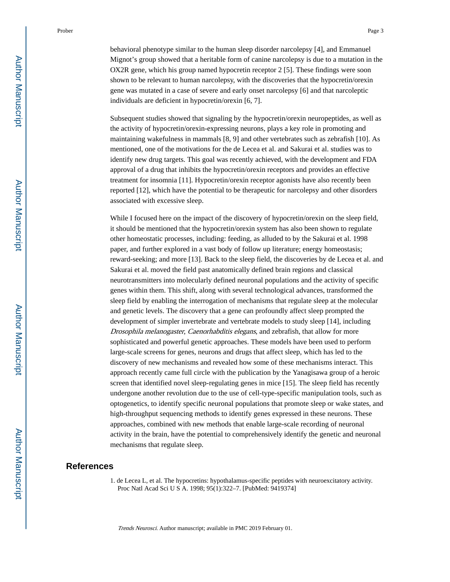Prober Page 3

behavioral phenotype similar to the human sleep disorder narcolepsy [4], and Emmanuel Mignot's group showed that a heritable form of canine narcolepsy is due to a mutation in the OX2R gene, which his group named hypocretin receptor 2 [5]. These findings were soon shown to be relevant to human narcolepsy, with the discoveries that the hypocretin/orexin gene was mutated in a case of severe and early onset narcolepsy [6] and that narcoleptic individuals are deficient in hypocretin/orexin [6, 7].

Subsequent studies showed that signaling by the hypocretin/orexin neuropeptides, as well as the activity of hypocretin/orexin-expressing neurons, plays a key role in promoting and maintaining wakefulness in mammals [8, 9] and other vertebrates such as zebrafish [10]. As mentioned, one of the motivations for the de Lecea et al. and Sakurai et al. studies was to identify new drug targets. This goal was recently achieved, with the development and FDA approval of a drug that inhibits the hypocretin/orexin receptors and provides an effective treatment for insomnia [11]. Hypocretin/orexin receptor agonists have also recently been reported [12], which have the potential to be therapeutic for narcolepsy and other disorders associated with excessive sleep.

While I focused here on the impact of the discovery of hypocretin/orexin on the sleep field, it should be mentioned that the hypocretin/orexin system has also been shown to regulate other homeostatic processes, including: feeding, as alluded to by the Sakurai et al. 1998 paper, and further explored in a vast body of follow up literature; energy homeostasis; reward-seeking; and more [13]. Back to the sleep field, the discoveries by de Lecea et al. and Sakurai et al. moved the field past anatomically defined brain regions and classical neurotransmitters into molecularly defined neuronal populations and the activity of specific genes within them. This shift, along with several technological advances, transformed the sleep field by enabling the interrogation of mechanisms that regulate sleep at the molecular and genetic levels. The discovery that a gene can profoundly affect sleep prompted the development of simpler invertebrate and vertebrate models to study sleep [14], including Drosophila melanogaster, Caenorhabditis elegans, and zebrafish, that allow for more sophisticated and powerful genetic approaches. These models have been used to perform large-scale screens for genes, neurons and drugs that affect sleep, which has led to the discovery of new mechanisms and revealed how some of these mechanisms interact. This approach recently came full circle with the publication by the Yanagisawa group of a heroic screen that identified novel sleep-regulating genes in mice [15]. The sleep field has recently undergone another revolution due to the use of cell-type-specific manipulation tools, such as optogenetics, to identify specific neuronal populations that promote sleep or wake states, and high-throughput sequencing methods to identify genes expressed in these neurons. These approaches, combined with new methods that enable large-scale recording of neuronal activity in the brain, have the potential to comprehensively identify the genetic and neuronal mechanisms that regulate sleep.

#### **References**

1. de Lecea L, et al. The hypocretins: hypothalamus-specific peptides with neuroexcitatory activity. Proc Natl Acad Sci U S A. 1998; 95(1):322–7. [PubMed: 9419374]

Trends Neurosci. Author manuscript; available in PMC 2019 February 01.